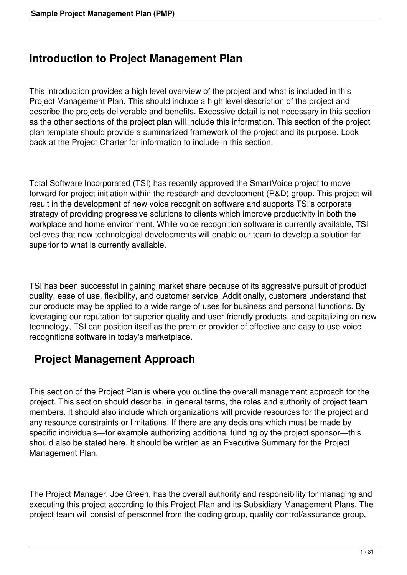### **Introduction to Project Management Plan**

This introduction provides a high level overview of the project and what is included in this Project Management Plan. This should include a high level description of the project and describe the projects deliverable and benefits. Excessive detail is not necessary in this section as the other sections of the project plan will include this information. This section of the project plan template should provide a summarized framework of the project and its purpose. Look back at the Project Charter for information to include in this section.

Total Software Incorporated (TSI) has recently approved the SmartVoice project to move forward for project initiation within the research and development (R&D) group. This project will result in the development of new voice recognition software and supports TSI's corporate strategy of providing progressive solutions to clients which improve productivity in both the workplace and home environment. While voice recognition software is currently available, TSI believes that new technological developments will enable our team to develop a solution far superior to what is currently available.

TSI has been successful in gaining market share because of its aggressive pursuit of product quality, ease of use, flexibility, and customer service. Additionally, customers understand that our products may be applied to a wide range of uses for business and personal functions. By leveraging our reputation for superior quality and user-friendly products, and capitalizing on new technology, TSI can position itself as the premier provider of effective and easy to use voice recognitions software in today's marketplace.

# **Project Management Approach**

This section of the Project Plan is where you outline the overall management approach for the project. This section should describe, in general terms, the roles and authority of project team members. It should also include which organizations will provide resources for the project and any resource constraints or limitations. If there are any decisions which must be made by specific individuals—for example authorizing additional funding by the project sponsor—this should also be stated here. It should be written as an Executive Summary for the Project Management Plan.

The Project Manager, Joe Green, has the overall authority and responsibility for managing and executing this project according to this Project Plan and its Subsidiary Management Plans. The project team will consist of personnel from the coding group, quality control/assurance group,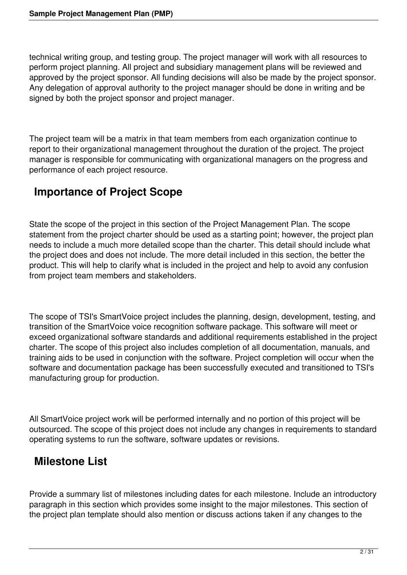technical writing group, and testing group. The project manager will work with all resources to perform project planning. All project and subsidiary management plans will be reviewed and approved by the project sponsor. All funding decisions will also be made by the project sponsor. Any delegation of approval authority to the project manager should be done in writing and be signed by both the project sponsor and project manager.

The project team will be a matrix in that team members from each organization continue to report to their organizational management throughout the duration of the project. The project manager is responsible for communicating with organizational managers on the progress and performance of each project resource.

# **Importance of Project Scope**

State the scope of the project in this section of the Project Management Plan. The scope statement from the project charter should be used as a starting point; however, the project plan needs to include a much more detailed scope than the charter. This detail should include what the project does and does not include. The more detail included in this section, the better the product. This will help to clarify what is included in the project and help to avoid any confusion from project team members and stakeholders.

The scope of TSI's SmartVoice project includes the planning, design, development, testing, and transition of the SmartVoice voice recognition software package. This software will meet or exceed organizational software standards and additional requirements established in the project charter. The scope of this project also includes completion of all documentation, manuals, and training aids to be used in conjunction with the software. Project completion will occur when the software and documentation package has been successfully executed and transitioned to TSI's manufacturing group for production.

All SmartVoice project work will be performed internally and no portion of this project will be outsourced. The scope of this project does not include any changes in requirements to standard operating systems to run the software, software updates or revisions.

# **Milestone List**

Provide a summary list of milestones including dates for each milestone. Include an introductory paragraph in this section which provides some insight to the major milestones. This section of the project plan template should also mention or discuss actions taken if any changes to the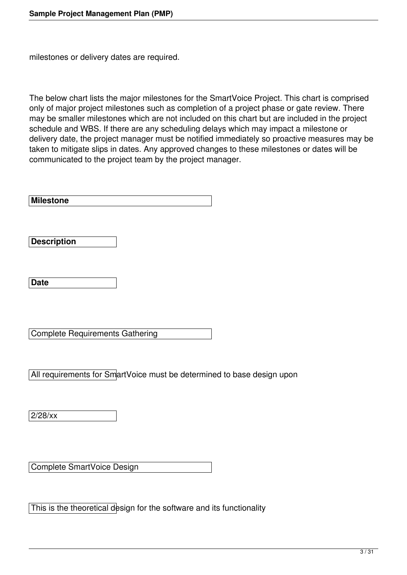milestones or delivery dates are required.

The below chart lists the major milestones for the SmartVoice Project. This chart is comprised only of major project milestones such as completion of a project phase or gate review. There may be smaller milestones which are not included on this chart but are included in the project schedule and WBS. If there are any scheduling delays which may impact a milestone or delivery date, the project manager must be notified immediately so proactive measures may be taken to mitigate slips in dates. Any approved changes to these milestones or dates will be communicated to the project team by the project manager.

**Milestone** 

**Description** 

**Date** 

Complete Requirements Gathering

All requirements for SmartVoice must be determined to base design upon

2/28/xx

Complete SmartVoice Design

This is the theoretical design for the software and its functionality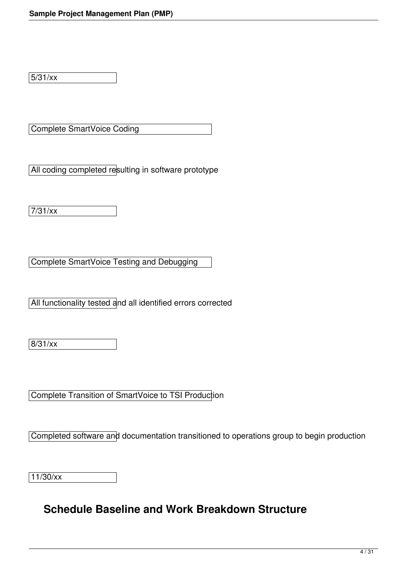5/31/xx

Complete SmartVoice Coding

All coding completed resulting in software prototype

7/31/xx

Complete SmartVoice Testing and Debugging

All functionality tested and all identified errors corrected

8/31/xx

Complete Transition of SmartVoice to TSI Production

Completed software and documentation transitioned to operations group to begin production

11/30/xx

#### **Schedule Baseline and Work Breakdown Structure**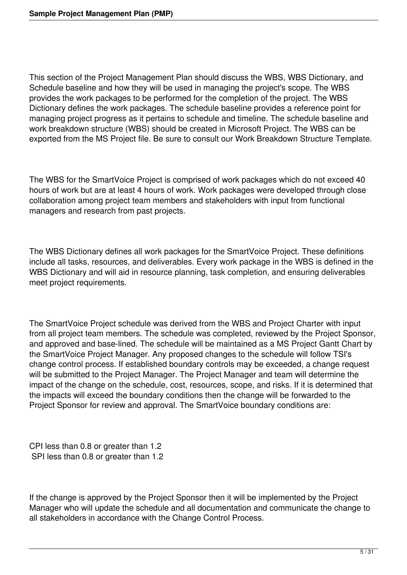This section of the Project Management Plan should discuss the WBS, WBS Dictionary, and Schedule baseline and how they will be used in managing the project's scope. The WBS provides the work packages to be performed for the completion of the project. The WBS Dictionary defines the work packages. The schedule baseline provides a reference point for managing project progress as it pertains to schedule and timeline. The schedule baseline and work breakdown structure (WBS) should be created in Microsoft Project. The WBS can be exported from the MS Project file. Be sure to consult our Work Breakdown Structure Template.

The WBS for the SmartVoice Project is comprised of work packages which do not exceed 40 hours of work but are at least 4 hours of work. Work packages were developed through close collaboration among project team members and stakeholders with input from functional managers and research from past projects.

The WBS Dictionary defines all work packages for the SmartVoice Project. These definitions include all tasks, resources, and deliverables. Every work package in the WBS is defined in the WBS Dictionary and will aid in resource planning, task completion, and ensuring deliverables meet project requirements.

The SmartVoice Project schedule was derived from the WBS and Project Charter with input from all project team members. The schedule was completed, reviewed by the Project Sponsor, and approved and base-lined. The schedule will be maintained as a MS Project Gantt Chart by the SmartVoice Project Manager. Any proposed changes to the schedule will follow TSI's change control process. If established boundary controls may be exceeded, a change request will be submitted to the Project Manager. The Project Manager and team will determine the impact of the change on the schedule, cost, resources, scope, and risks. If it is determined that the impacts will exceed the boundary conditions then the change will be forwarded to the Project Sponsor for review and approval. The SmartVoice boundary conditions are:

CPI less than 0.8 or greater than 1.2 SPI less than 0.8 or greater than 1.2

If the change is approved by the Project Sponsor then it will be implemented by the Project Manager who will update the schedule and all documentation and communicate the change to all stakeholders in accordance with the Change Control Process.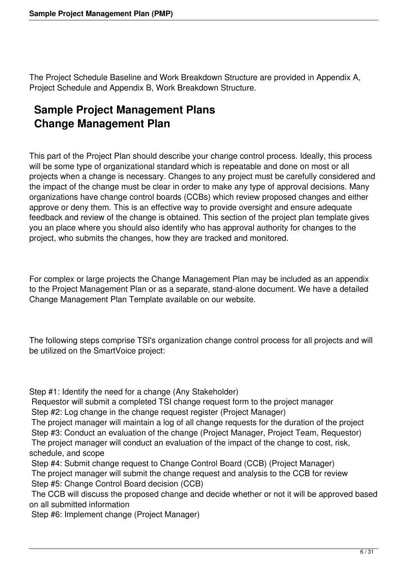The Project Schedule Baseline and Work Breakdown Structure are provided in Appendix A, Project Schedule and Appendix B, Work Breakdown Structure.

# **Sample Project Management Plans Change Management Plan**

This part of the Project Plan should describe your change control process. Ideally, this process will be some type of organizational standard which is repeatable and done on most or all projects when a change is necessary. Changes to any project must be carefully considered and the impact of the change must be clear in order to make any type of approval decisions. Many organizations have change control boards (CCBs) which review proposed changes and either approve or deny them. This is an effective way to provide oversight and ensure adequate feedback and review of the change is obtained. This section of the project plan template gives you an place where you should also identify who has approval authority for changes to the project, who submits the changes, how they are tracked and monitored.

For complex or large projects the Change Management Plan may be included as an appendix to the Project Management Plan or as a separate, stand-alone document. We have a detailed Change Management Plan Template available on our website.

The following steps comprise TSI's organization change control process for all projects and will be utilized on the SmartVoice project:

Step #1: Identify the need for a change (Any Stakeholder)

 Requestor will submit a completed TSI change request form to the project manager Step #2: Log change in the change request register (Project Manager)

 The project manager will maintain a log of all change requests for the duration of the project Step #3: Conduct an evaluation of the change (Project Manager, Project Team, Requestor) The project manager will conduct an evaluation of the impact of the change to cost, risk, schedule, and scope

 Step #4: Submit change request to Change Control Board (CCB) (Project Manager) The project manager will submit the change request and analysis to the CCB for review Step #5: Change Control Board decision (CCB)

 The CCB will discuss the proposed change and decide whether or not it will be approved based on all submitted information

Step #6: Implement change (Project Manager)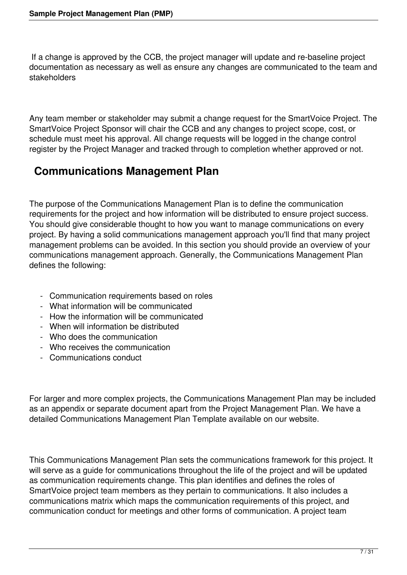If a change is approved by the CCB, the project manager will update and re-baseline project documentation as necessary as well as ensure any changes are communicated to the team and stakeholders

Any team member or stakeholder may submit a change request for the SmartVoice Project. The SmartVoice Project Sponsor will chair the CCB and any changes to project scope, cost, or schedule must meet his approval. All change requests will be logged in the change control register by the Project Manager and tracked through to completion whether approved or not.

# **Communications Management Plan**

The purpose of the Communications Management Plan is to define the communication requirements for the project and how information will be distributed to ensure project success. You should give considerable thought to how you want to manage communications on every project. By having a solid communications management approach you'll find that many project management problems can be avoided. In this section you should provide an overview of your communications management approach. Generally, the Communications Management Plan defines the following:

- Communication requirements based on roles
- What information will be communicated
- How the information will be communicated
- When will information be distributed
- Who does the communication
- Who receives the communication
- Communications conduct

For larger and more complex projects, the Communications Management Plan may be included as an appendix or separate document apart from the Project Management Plan. We have a detailed Communications Management Plan Template available on our website.

This Communications Management Plan sets the communications framework for this project. It will serve as a guide for communications throughout the life of the project and will be updated as communication requirements change. This plan identifies and defines the roles of SmartVoice project team members as they pertain to communications. It also includes a communications matrix which maps the communication requirements of this project, and communication conduct for meetings and other forms of communication. A project team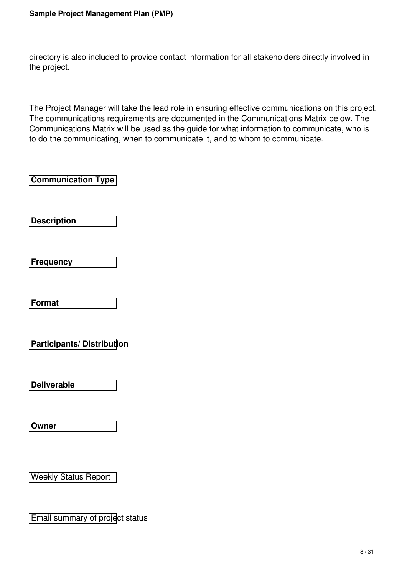directory is also included to provide contact information for all stakeholders directly involved in the project.

The Project Manager will take the lead role in ensuring effective communications on this project. The communications requirements are documented in the Communications Matrix below. The Communications Matrix will be used as the guide for what information to communicate, who is to do the communicating, when to communicate it, and to whom to communicate.

**Communication Type** 

**Description** 

**Frequency** 

**Format** 

**Participants/ Distribution** 

**Deliverable** 

**Owner** 

Weekly Status Report

Email summary of project status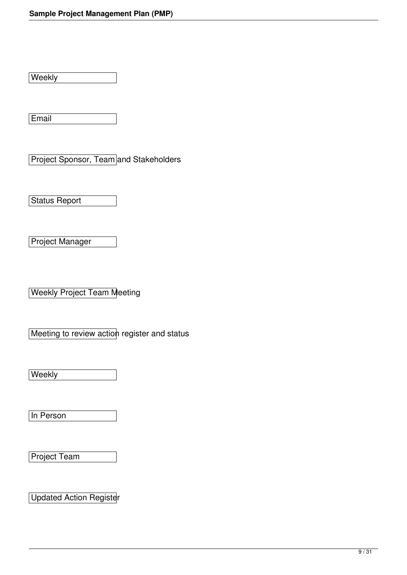Weekly

Email

Project Sponsor, Team and Stakeholders

Status Report

Project Manager

Weekly Project Team Meeting

Meeting to review action register and status

Weekly

In Person

Project Team

Updated Action Register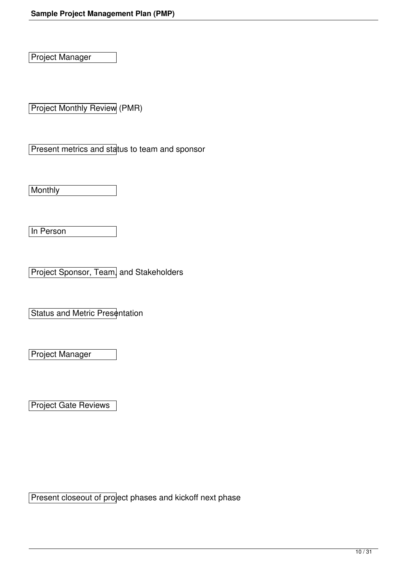Project Manager

Project Monthly Review (PMR)

Present metrics and status to team and sponsor

**Monthly** 

In Person

Project Sponsor, Team, and Stakeholders

**Status and Metric Presentation** 

Project Manager

Project Gate Reviews

Present closeout of project phases and kickoff next phase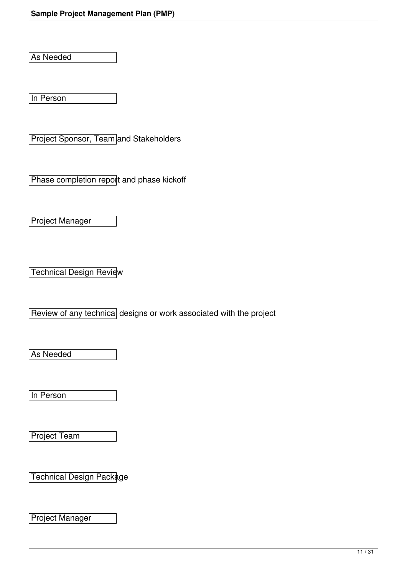As Needed

In Person

Project Sponsor, Team and Stakeholders

Phase completion report and phase kickoff

Project Manager

**Technical Design Review** 

Review of any technical designs or work associated with the project

As Needed

In Person

Project Team

Technical Design Package

Project Manager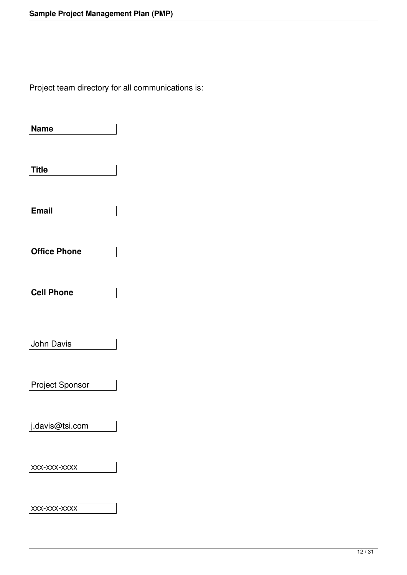Project team directory for all communications is:

**Name** 

**Title** 

**Email** 

**Office Phone** 

**Cell Phone** 

John Davis

Project Sponsor

j.davis@tsi.com

xxx-xxx-xxxx

xxx-xxx-xxxx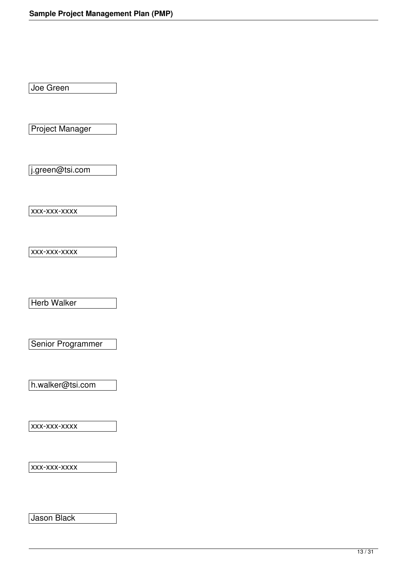Joe Green

Project Manager

j.green@tsi.com

xxx-xxx-xxxx

xxx-xxx-xxxx

Herb Walker

Senior Programmer

h.walker@tsi.com

xxx-xxx-xxxx

xxx-xxx-xxxx

Jason Black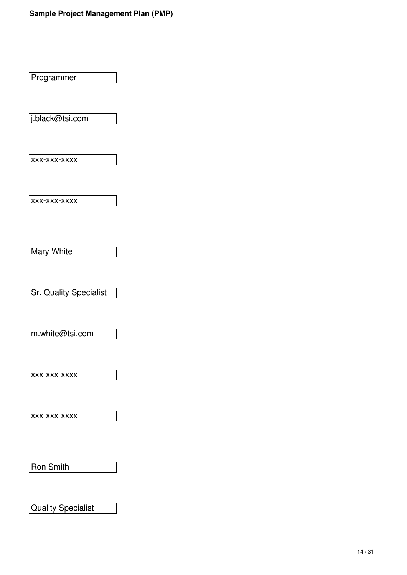Programmer

j.black@tsi.com

xxx-xxx-xxxx

xxx-xxx-xxxx

**Mary White** 

Sr. Quality Specialist

m.white@tsi.com

xxx-xxx-xxxx

xxx-xxx-xxxx

Ron Smith

Quality Specialist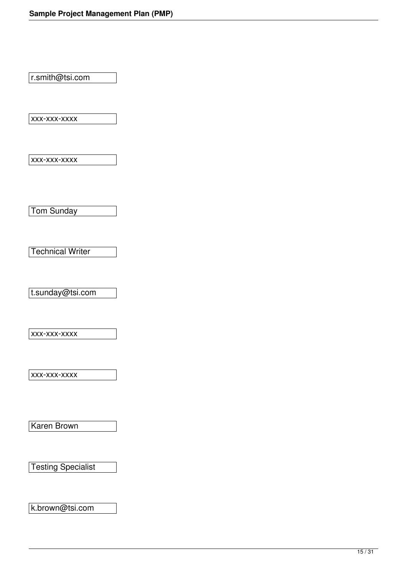r.smith@tsi.com

xxx-xxx-xxxx

 $|$ xxx-xxx-xxxx

Tom Sunday

Technical Writer

t.sunday@tsi.com

xxx-xxx-xxxx

xxx-xxx-xxxx

Karen Brown

Testing Specialist

k.brown@tsi.com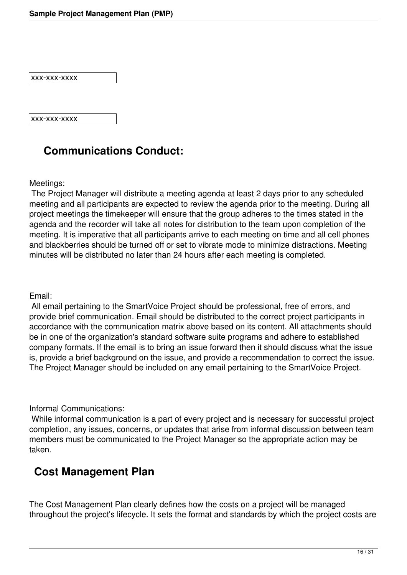xxx-xxx-xxxx

xxx-xxx-xxxx

### **Communications Conduct:**

Meetings:

 The Project Manager will distribute a meeting agenda at least 2 days prior to any scheduled meeting and all participants are expected to review the agenda prior to the meeting. During all project meetings the timekeeper will ensure that the group adheres to the times stated in the agenda and the recorder will take all notes for distribution to the team upon completion of the meeting. It is imperative that all participants arrive to each meeting on time and all cell phones and blackberries should be turned off or set to vibrate mode to minimize distractions. Meeting minutes will be distributed no later than 24 hours after each meeting is completed.

Email:

 All email pertaining to the SmartVoice Project should be professional, free of errors, and provide brief communication. Email should be distributed to the correct project participants in accordance with the communication matrix above based on its content. All attachments should be in one of the organization's standard software suite programs and adhere to established company formats. If the email is to bring an issue forward then it should discuss what the issue is, provide a brief background on the issue, and provide a recommendation to correct the issue. The Project Manager should be included on any email pertaining to the SmartVoice Project.

Informal Communications:

 While informal communication is a part of every project and is necessary for successful project completion, any issues, concerns, or updates that arise from informal discussion between team members must be communicated to the Project Manager so the appropriate action may be taken.

#### **Cost Management Plan**

The Cost Management Plan clearly defines how the costs on a project will be managed throughout the project's lifecycle. It sets the format and standards by which the project costs are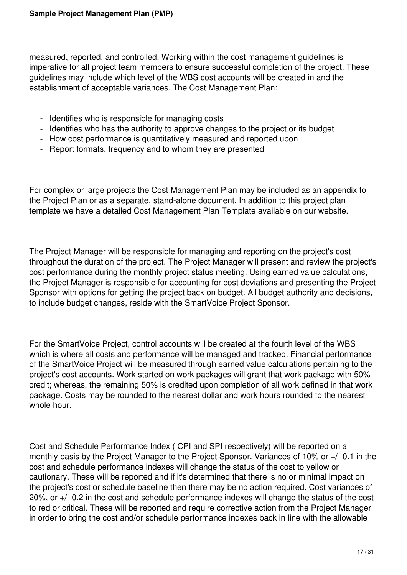measured, reported, and controlled. Working within the cost management guidelines is imperative for all project team members to ensure successful completion of the project. These guidelines may include which level of the WBS cost accounts will be created in and the establishment of acceptable variances. The Cost Management Plan:

- Identifies who is responsible for managing costs
- Identifies who has the authority to approve changes to the project or its budget
- How cost performance is quantitatively measured and reported upon
- Report formats, frequency and to whom they are presented

For complex or large projects the Cost Management Plan may be included as an appendix to the Project Plan or as a separate, stand-alone document. In addition to this project plan template we have a detailed Cost Management Plan Template available on our website.

The Project Manager will be responsible for managing and reporting on the project's cost throughout the duration of the project. The Project Manager will present and review the project's cost performance during the monthly project status meeting. Using earned value calculations, the Project Manager is responsible for accounting for cost deviations and presenting the Project Sponsor with options for getting the project back on budget. All budget authority and decisions, to include budget changes, reside with the SmartVoice Project Sponsor.

For the SmartVoice Project, control accounts will be created at the fourth level of the WBS which is where all costs and performance will be managed and tracked. Financial performance of the SmartVoice Project will be measured through earned value calculations pertaining to the project's cost accounts. Work started on work packages will grant that work package with 50% credit; whereas, the remaining 50% is credited upon completion of all work defined in that work package. Costs may be rounded to the nearest dollar and work hours rounded to the nearest whole hour.

Cost and Schedule Performance Index ( CPI and SPI respectively) will be reported on a monthly basis by the Project Manager to the Project Sponsor. Variances of 10% or +/- 0.1 in the cost and schedule performance indexes will change the status of the cost to yellow or cautionary. These will be reported and if it's determined that there is no or minimal impact on the project's cost or schedule baseline then there may be no action required. Cost variances of 20%, or +/- 0.2 in the cost and schedule performance indexes will change the status of the cost to red or critical. These will be reported and require corrective action from the Project Manager in order to bring the cost and/or schedule performance indexes back in line with the allowable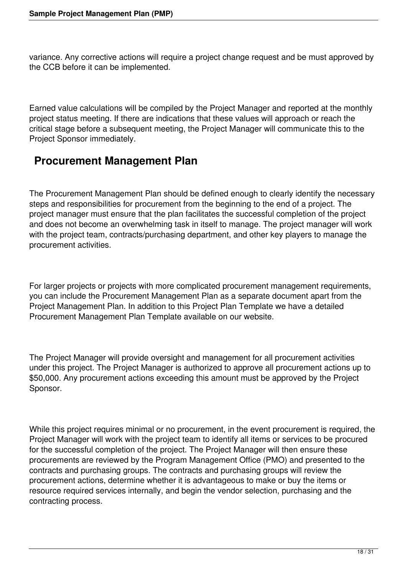variance. Any corrective actions will require a project change request and be must approved by the CCB before it can be implemented.

Earned value calculations will be compiled by the Project Manager and reported at the monthly project status meeting. If there are indications that these values will approach or reach the critical stage before a subsequent meeting, the Project Manager will communicate this to the Project Sponsor immediately.

### **Procurement Management Plan**

The Procurement Management Plan should be defined enough to clearly identify the necessary steps and responsibilities for procurement from the beginning to the end of a project. The project manager must ensure that the plan facilitates the successful completion of the project and does not become an overwhelming task in itself to manage. The project manager will work with the project team, contracts/purchasing department, and other key players to manage the procurement activities.

For larger projects or projects with more complicated procurement management requirements, you can include the Procurement Management Plan as a separate document apart from the Project Management Plan. In addition to this Project Plan Template we have a detailed Procurement Management Plan Template available on our website.

The Project Manager will provide oversight and management for all procurement activities under this project. The Project Manager is authorized to approve all procurement actions up to \$50,000. Any procurement actions exceeding this amount must be approved by the Project Sponsor.

While this project requires minimal or no procurement, in the event procurement is required, the Project Manager will work with the project team to identify all items or services to be procured for the successful completion of the project. The Project Manager will then ensure these procurements are reviewed by the Program Management Office (PMO) and presented to the contracts and purchasing groups. The contracts and purchasing groups will review the procurement actions, determine whether it is advantageous to make or buy the items or resource required services internally, and begin the vendor selection, purchasing and the contracting process.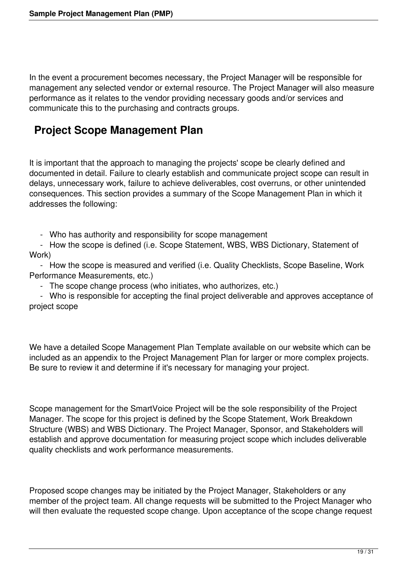In the event a procurement becomes necessary, the Project Manager will be responsible for management any selected vendor or external resource. The Project Manager will also measure performance as it relates to the vendor providing necessary goods and/or services and communicate this to the purchasing and contracts groups.

## **Project Scope Management Plan**

It is important that the approach to managing the projects' scope be clearly defined and documented in detail. Failure to clearly establish and communicate project scope can result in delays, unnecessary work, failure to achieve deliverables, cost overruns, or other unintended consequences. This section provides a summary of the Scope Management Plan in which it addresses the following:

- Who has authority and responsibility for scope management

 - How the scope is defined (i.e. Scope Statement, WBS, WBS Dictionary, Statement of Work)

 - How the scope is measured and verified (i.e. Quality Checklists, Scope Baseline, Work Performance Measurements, etc.)

- The scope change process (who initiates, who authorizes, etc.)

 - Who is responsible for accepting the final project deliverable and approves acceptance of project scope

We have a detailed Scope Management Plan Template available on our website which can be included as an appendix to the Project Management Plan for larger or more complex projects. Be sure to review it and determine if it's necessary for managing your project.

Scope management for the SmartVoice Project will be the sole responsibility of the Project Manager. The scope for this project is defined by the Scope Statement, Work Breakdown Structure (WBS) and WBS Dictionary. The Project Manager, Sponsor, and Stakeholders will establish and approve documentation for measuring project scope which includes deliverable quality checklists and work performance measurements.

Proposed scope changes may be initiated by the Project Manager, Stakeholders or any member of the project team. All change requests will be submitted to the Project Manager who will then evaluate the requested scope change. Upon acceptance of the scope change request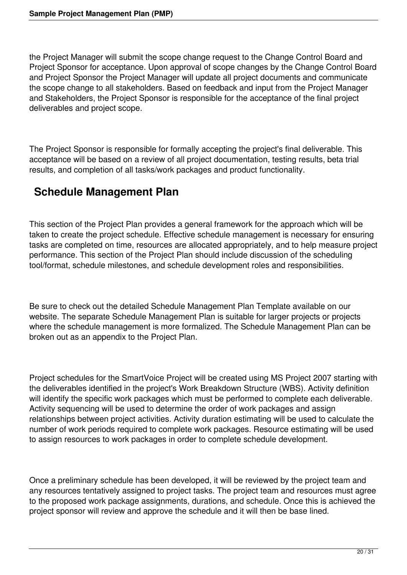the Project Manager will submit the scope change request to the Change Control Board and Project Sponsor for acceptance. Upon approval of scope changes by the Change Control Board and Project Sponsor the Project Manager will update all project documents and communicate the scope change to all stakeholders. Based on feedback and input from the Project Manager and Stakeholders, the Project Sponsor is responsible for the acceptance of the final project deliverables and project scope.

The Project Sponsor is responsible for formally accepting the project's final deliverable. This acceptance will be based on a review of all project documentation, testing results, beta trial results, and completion of all tasks/work packages and product functionality.

### **Schedule Management Plan**

This section of the Project Plan provides a general framework for the approach which will be taken to create the project schedule. Effective schedule management is necessary for ensuring tasks are completed on time, resources are allocated appropriately, and to help measure project performance. This section of the Project Plan should include discussion of the scheduling tool/format, schedule milestones, and schedule development roles and responsibilities.

Be sure to check out the detailed Schedule Management Plan Template available on our website. The separate Schedule Management Plan is suitable for larger projects or projects where the schedule management is more formalized. The Schedule Management Plan can be broken out as an appendix to the Project Plan.

Project schedules for the SmartVoice Project will be created using MS Project 2007 starting with the deliverables identified in the project's Work Breakdown Structure (WBS). Activity definition will identify the specific work packages which must be performed to complete each deliverable. Activity sequencing will be used to determine the order of work packages and assign relationships between project activities. Activity duration estimating will be used to calculate the number of work periods required to complete work packages. Resource estimating will be used to assign resources to work packages in order to complete schedule development.

Once a preliminary schedule has been developed, it will be reviewed by the project team and any resources tentatively assigned to project tasks. The project team and resources must agree to the proposed work package assignments, durations, and schedule. Once this is achieved the project sponsor will review and approve the schedule and it will then be base lined.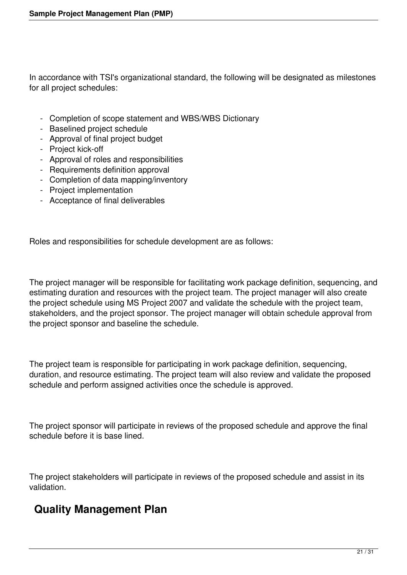In accordance with TSI's organizational standard, the following will be designated as milestones for all project schedules:

- Completion of scope statement and WBS/WBS Dictionary
- Baselined project schedule
- Approval of final project budget
- Project kick-off
	- Approval of roles and responsibilities
	- Requirements definition approval
	- Completion of data mapping/inventory
	- Project implementation
	- Acceptance of final deliverables

Roles and responsibilities for schedule development are as follows:

The project manager will be responsible for facilitating work package definition, sequencing, and estimating duration and resources with the project team. The project manager will also create the project schedule using MS Project 2007 and validate the schedule with the project team, stakeholders, and the project sponsor. The project manager will obtain schedule approval from the project sponsor and baseline the schedule.

The project team is responsible for participating in work package definition, sequencing, duration, and resource estimating. The project team will also review and validate the proposed schedule and perform assigned activities once the schedule is approved.

The project sponsor will participate in reviews of the proposed schedule and approve the final schedule before it is base lined.

The project stakeholders will participate in reviews of the proposed schedule and assist in its validation.

# **Quality Management Plan**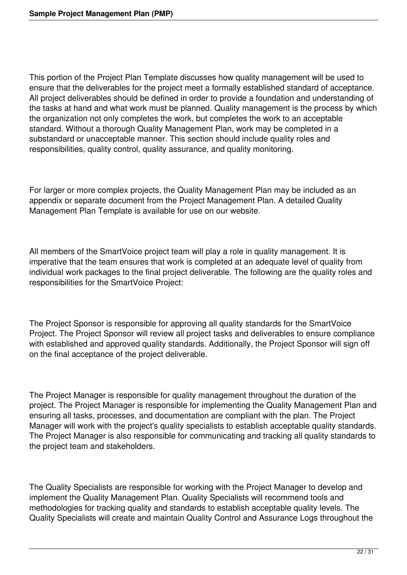This portion of the Project Plan Template discusses how quality management will be used to ensure that the deliverables for the project meet a formally established standard of acceptance. All project deliverables should be defined in order to provide a foundation and understanding of the tasks at hand and what work must be planned. Quality management is the process by which the organization not only completes the work, but completes the work to an acceptable standard. Without a thorough Quality Management Plan, work may be completed in a substandard or unacceptable manner. This section should include quality roles and responsibilities, quality control, quality assurance, and quality monitoring.

For larger or more complex projects, the Quality Management Plan may be included as an appendix or separate document from the Project Management Plan. A detailed Quality Management Plan Template is available for use on our website.

All members of the SmartVoice project team will play a role in quality management. It is imperative that the team ensures that work is completed at an adequate level of quality from individual work packages to the final project deliverable. The following are the quality roles and responsibilities for the SmartVoice Project:

The Project Sponsor is responsible for approving all quality standards for the SmartVoice Project. The Project Sponsor will review all project tasks and deliverables to ensure compliance with established and approved quality standards. Additionally, the Project Sponsor will sign off on the final acceptance of the project deliverable.

The Project Manager is responsible for quality management throughout the duration of the project. The Project Manager is responsible for implementing the Quality Management Plan and ensuring all tasks, processes, and documentation are compliant with the plan. The Project Manager will work with the project's quality specialists to establish acceptable quality standards. The Project Manager is also responsible for communicating and tracking all quality standards to the project team and stakeholders.

The Quality Specialists are responsible for working with the Project Manager to develop and implement the Quality Management Plan. Quality Specialists will recommend tools and methodologies for tracking quality and standards to establish acceptable quality levels. The Quality Specialists will create and maintain Quality Control and Assurance Logs throughout the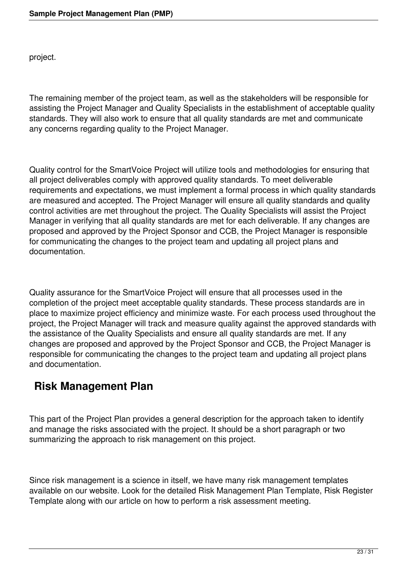project.

The remaining member of the project team, as well as the stakeholders will be responsible for assisting the Project Manager and Quality Specialists in the establishment of acceptable quality standards. They will also work to ensure that all quality standards are met and communicate any concerns regarding quality to the Project Manager.

Quality control for the SmartVoice Project will utilize tools and methodologies for ensuring that all project deliverables comply with approved quality standards. To meet deliverable requirements and expectations, we must implement a formal process in which quality standards are measured and accepted. The Project Manager will ensure all quality standards and quality control activities are met throughout the project. The Quality Specialists will assist the Project Manager in verifying that all quality standards are met for each deliverable. If any changes are proposed and approved by the Project Sponsor and CCB, the Project Manager is responsible for communicating the changes to the project team and updating all project plans and documentation.

Quality assurance for the SmartVoice Project will ensure that all processes used in the completion of the project meet acceptable quality standards. These process standards are in place to maximize project efficiency and minimize waste. For each process used throughout the project, the Project Manager will track and measure quality against the approved standards with the assistance of the Quality Specialists and ensure all quality standards are met. If any changes are proposed and approved by the Project Sponsor and CCB, the Project Manager is responsible for communicating the changes to the project team and updating all project plans and documentation.

### **Risk Management Plan**

This part of the Project Plan provides a general description for the approach taken to identify and manage the risks associated with the project. It should be a short paragraph or two summarizing the approach to risk management on this project.

Since risk management is a science in itself, we have many risk management templates available on our website. Look for the detailed Risk Management Plan Template, Risk Register Template along with our article on how to perform a risk assessment meeting.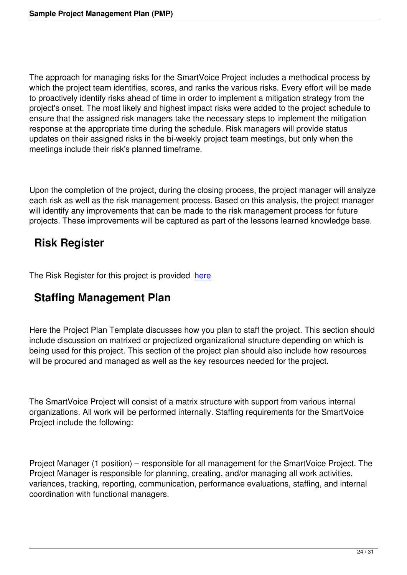The approach for managing risks for the SmartVoice Project includes a methodical process by which the project team identifies, scores, and ranks the various risks. Every effort will be made to proactively identify risks ahead of time in order to implement a mitigation strategy from the project's onset. The most likely and highest impact risks were added to the project schedule to ensure that the assigned risk managers take the necessary steps to implement the mitigation response at the appropriate time during the schedule. Risk managers will provide status updates on their assigned risks in the bi-weekly project team meetings, but only when the meetings include their risk's planned timeframe.

Upon the completion of the project, during the closing process, the project manager will analyze each risk as well as the risk management process. Based on this analysis, the project manager will identify any improvements that can be made to the risk management process for future projects. These improvements will be captured as part of the lessons learned knowledge base.

# **Risk Register**

The Risk Register for this project is provided here

## **Staffing Management Plan**

Here the Project Plan Template discusses how you plan to staff the project. This section should include discussion on matrixed or projectized organizational structure depending on which is being used for this project. This section of the project plan should also include how resources will be procured and managed as well as the key resources needed for the project.

The SmartVoice Project will consist of a matrix structure with support from various internal organizations. All work will be performed internally. Staffing requirements for the SmartVoice Project include the following:

Project Manager (1 position) – responsible for all management for the SmartVoice Project. The Project Manager is responsible for planning, creating, and/or managing all work activities, variances, tracking, reporting, communication, performance evaluations, staffing, and internal coordination with functional managers.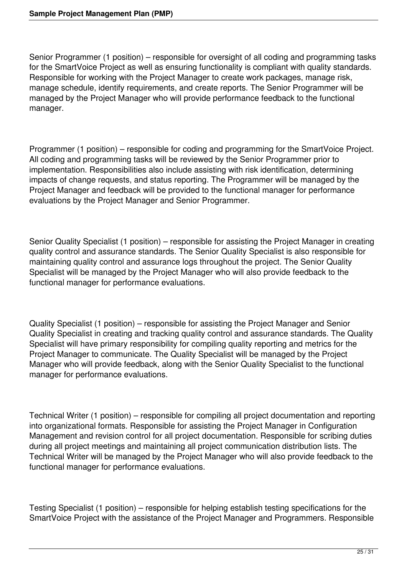Senior Programmer (1 position) – responsible for oversight of all coding and programming tasks for the SmartVoice Project as well as ensuring functionality is compliant with quality standards. Responsible for working with the Project Manager to create work packages, manage risk, manage schedule, identify requirements, and create reports. The Senior Programmer will be managed by the Project Manager who will provide performance feedback to the functional manager.

Programmer (1 position) – responsible for coding and programming for the SmartVoice Project. All coding and programming tasks will be reviewed by the Senior Programmer prior to implementation. Responsibilities also include assisting with risk identification, determining impacts of change requests, and status reporting. The Programmer will be managed by the Project Manager and feedback will be provided to the functional manager for performance evaluations by the Project Manager and Senior Programmer.

Senior Quality Specialist (1 position) – responsible for assisting the Project Manager in creating quality control and assurance standards. The Senior Quality Specialist is also responsible for maintaining quality control and assurance logs throughout the project. The Senior Quality Specialist will be managed by the Project Manager who will also provide feedback to the functional manager for performance evaluations.

Quality Specialist (1 position) – responsible for assisting the Project Manager and Senior Quality Specialist in creating and tracking quality control and assurance standards. The Quality Specialist will have primary responsibility for compiling quality reporting and metrics for the Project Manager to communicate. The Quality Specialist will be managed by the Project Manager who will provide feedback, along with the Senior Quality Specialist to the functional manager for performance evaluations.

Technical Writer (1 position) – responsible for compiling all project documentation and reporting into organizational formats. Responsible for assisting the Project Manager in Configuration Management and revision control for all project documentation. Responsible for scribing duties during all project meetings and maintaining all project communication distribution lists. The Technical Writer will be managed by the Project Manager who will also provide feedback to the functional manager for performance evaluations.

Testing Specialist (1 position) – responsible for helping establish testing specifications for the SmartVoice Project with the assistance of the Project Manager and Programmers. Responsible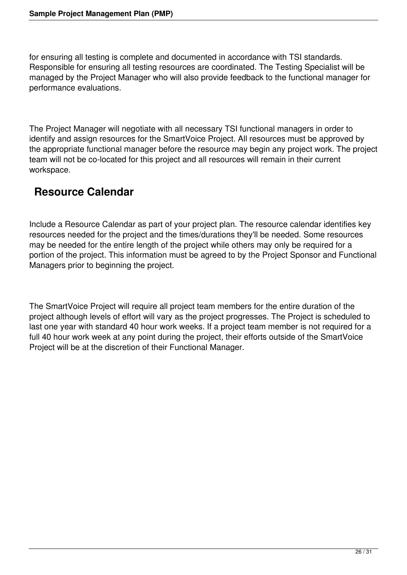for ensuring all testing is complete and documented in accordance with TSI standards. Responsible for ensuring all testing resources are coordinated. The Testing Specialist will be managed by the Project Manager who will also provide feedback to the functional manager for performance evaluations.

The Project Manager will negotiate with all necessary TSI functional managers in order to identify and assign resources for the SmartVoice Project. All resources must be approved by the appropriate functional manager before the resource may begin any project work. The project team will not be co-located for this project and all resources will remain in their current workspace.

### **Resource Calendar**

Include a Resource Calendar as part of your project plan. The resource calendar identifies key resources needed for the project and the times/durations they'll be needed. Some resources may be needed for the entire length of the project while others may only be required for a portion of the project. This information must be agreed to by the Project Sponsor and Functional Managers prior to beginning the project.

The SmartVoice Project will require all project team members for the entire duration of the project although levels of effort will vary as the project progresses. The Project is scheduled to last one year with standard 40 hour work weeks. If a project team member is not required for a full 40 hour work week at any point during the project, their efforts outside of the SmartVoice Project will be at the discretion of their Functional Manager.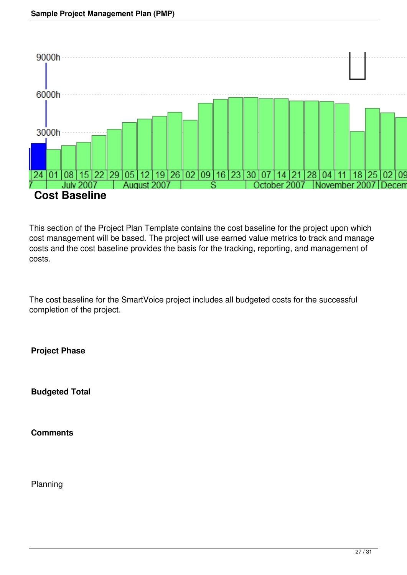

This section of the Project Plan Template contains the cost baseline for the project upon which cost management will be based. The project will use earned value metrics to track and manage costs and the cost baseline provides the basis for the tracking, reporting, and management of costs.

The cost baseline for the SmartVoice project includes all budgeted costs for the successful completion of the project.

**Project Phase** 

**Budgeted Total** 

**Comments** 

Planning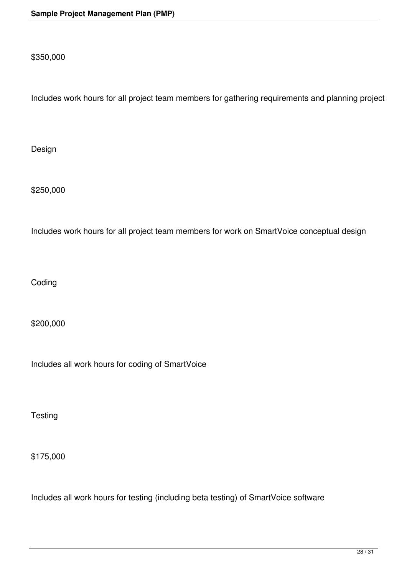\$350,000

Includes work hours for all project team members for gathering requirements and planning project

Design

\$250,000

Includes work hours for all project team members for work on SmartVoice conceptual design

Coding

\$200,000

Includes all work hours for coding of SmartVoice

**Testing** 

\$175,000

Includes all work hours for testing (including beta testing) of SmartVoice software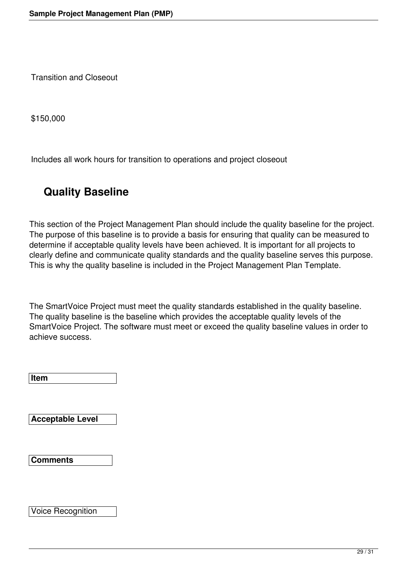Transition and Closeout

\$150,000

Includes all work hours for transition to operations and project closeout

# **Quality Baseline**

This section of the Project Management Plan should include the quality baseline for the project. The purpose of this baseline is to provide a basis for ensuring that quality can be measured to determine if acceptable quality levels have been achieved. It is important for all projects to clearly define and communicate quality standards and the quality baseline serves this purpose. This is why the quality baseline is included in the Project Management Plan Template.

The SmartVoice Project must meet the quality standards established in the quality baseline. The quality baseline is the baseline which provides the acceptable quality levels of the SmartVoice Project. The software must meet or exceed the quality baseline values in order to achieve success.

**Item** 

**Acceptable Level** 

**Comments** 

Voice Recognition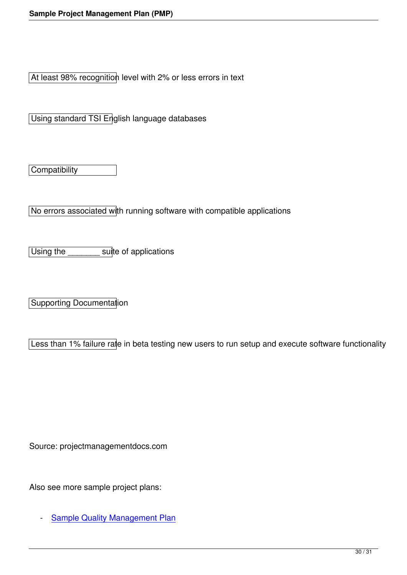At least 98% recognition level with 2% or less errors in text

Using standard TSI English language databases

**Compatibility** 

No errors associated with running software with compatible applications

Using the suite of applications

Supporting Documentation

Less than 1% failure rate in beta testing new users to run setup and execute software functionality

Source: projectmanagementdocs.com

Also see more sample project plans:

- Sample Quality Management Plan